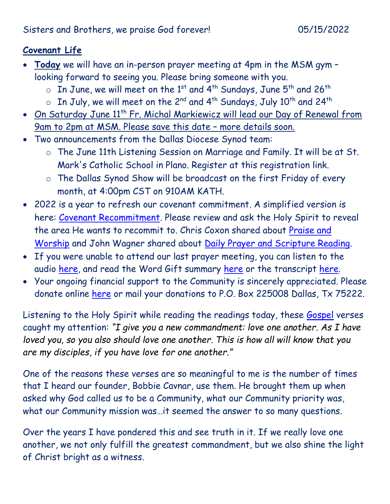## **Covenant Life**

- **Today** we will have an in-person prayer meeting at 4pm in the MSM gym looking forward to seeing you. Please bring someone with you.
	- $\circ$  In June, we will meet on the 1<sup>st</sup> and 4<sup>th</sup> Sundays, June 5<sup>th</sup> and 26<sup>th</sup>
	- $\circ$  In July, we will meet on the 2<sup>nd</sup> and 4<sup>th</sup> Sundays, July 10<sup>th</sup> and 24<sup>th</sup>
- On Saturday June 11<sup>th</sup> Fr. Michal Markiewicz will lead our Day of Renewal from 9am to 2pm at MSM. Please save this date – more details soon.
- Two announcements from the Dallas Diocese Synod team:
	- o The June 11th Listening Session on Marriage and Family. It will be at St. Mark's Catholic School in Plano. Register at this registration link.
	- o The Dallas Synod Show will be broadcast on the first Friday of every month, at 4:00pm CST on 910AM KATH.
- 2022 is a year to refresh our covenant commitment. A simplified version is here: [Covenant Recommitment.](https://godsdelight.org/2022-covenant-recommitment) Please review and ask the Holy Spirit to reveal the area He wants to recommit to. Chris Coxon shared about [Praise and](https://godsdelight.s3.us-east-1.amazonaws.com/leaders/audio_video/teachings/PM2022410CoxonSharing.mp3)  [Worship](https://godsdelight.s3.us-east-1.amazonaws.com/leaders/audio_video/teachings/PM2022410CoxonSharing.mp3) and John Wagner shared about [Daily Prayer and Scripture Reading.](https://godsdelight.s3.us-east-1.amazonaws.com/leaders/audio_video/teachings/PM20220424JWagnerSharing.mp3)
- If you were unable to attend our last prayer meeting, you can listen to the audio [here,](https://godsdelight.org/gatherings-audio) and read the Word Gift summary [here](https://godsdelight.org/gathering-summaries) or the transcript [here.](https://godsdelight.org/gathering-transcipts)
- Your ongoing financial support to the Community is sincerely appreciated. Please donate online [here](http://www.godsdelight.org/) or mail your donations to P.O. Box 225008 Dallas, Tx 75222.

Listening to the Holy Spirit while reading the readings today, these [Gospel](https://bible.usccb.org/bible/john/13?31) verses caught my attention: *"I give you a new commandment: love one another. As I have loved you, so you also should love one another. This is how all will know that you are my disciples, if you have love for one another."*

One of the reasons these verses are so meaningful to me is the number of times that I heard our founder, Bobbie Cavnar, use them. He brought them up when asked why God called us to be a Community, what our Community priority was, what our Community mission was…it seemed the answer to so many questions.

Over the years I have pondered this and see truth in it. If we really love one another, we not only fulfill the greatest commandment, but we also shine the light of Christ bright as a witness.